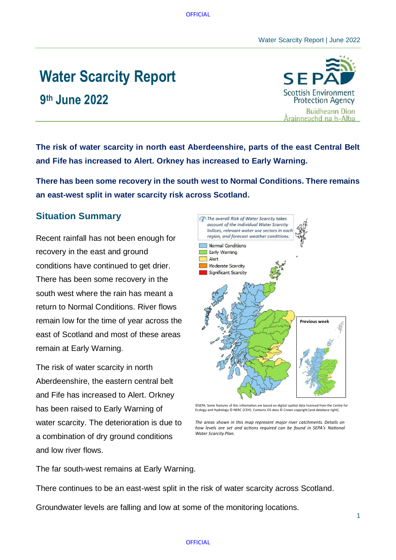#### Water Scarcity Report | June 2022

# **Water Scarcity Report**

**9 th June 2022**



**The risk of water scarcity in north east Aberdeenshire, parts of the east Central Belt and Fife has increased to Alert. Orkney has increased to Early Warning.**

**There has been some recovery in the south west to Normal Conditions. There remains an east-west split in water scarcity risk across Scotland.**

## **Situation Summary**

Recent rainfall has not been enough for recovery in the east and ground conditions have continued to get drier. There has been some recovery in the south west where the rain has meant a return to Normal Conditions. River flows remain low for the time of year across the east of Scotland and most of these areas remain at Early Warning.

The risk of water scarcity in north Aberdeenshire, the eastern central belt and Fife has increased to Alert. Orkney has been raised to Early Warning of water scarcity. The deterioration is due to a combination of dry ground conditions and low river flows.



<sup>©</sup>SEPA. Some features of this information are based on digital spatial data licensed from the Centre for Ecology and Hydrology © NERC (CEH). Contains OS data © Crown copyright [and database right]

 $1$ 

The far south-west remains at Early Warning.

There continues to be an east-west split in the risk of water scarcity across Scotland.

Groundwater levels are falling and low at some of the monitoring locations.

The areas shown in this map represent major river catchments. Details on how levels are set and actions required can be found in SEPA's National **Water Scarcity Plan.**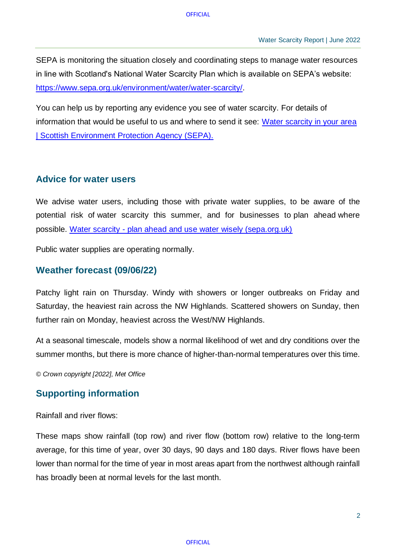SEPA is monitoring the situation closely and coordinating steps to manage water resources in line with Scotland's National Water Scarcity Plan which is available on SEPA's website: [https://www.sepa.org.uk/environment/water/water-scarcity/.](https://www.sepa.org.uk/environment/water/water-scarcity/)

You can help us by reporting any evidence you see of water scarcity. For details of information that would be useful to us and where to send it see: [Water scarcity in your area](https://www.sepa.org.uk/environment/water/water-scarcity/water-scarcity-in-your-area/)  [| Scottish Environment Protection Agency \(SEPA\).](https://www.sepa.org.uk/environment/water/water-scarcity/water-scarcity-in-your-area/)

## **Advice for water users**

We advise water users, including those with private water supplies, to be aware of the potential risk of water scarcity this summer, and for businesses to plan ahead where possible. Water scarcity - [plan ahead and use water](https://www.sepa.org.uk/media/514860/sepa_water-scarcity_digital-leaflet.pdf) [wisely \(sepa.org.uk\)](https://www.sepa.org.uk/media/514860/sepa_water-scarcity_digital-leaflet.pdf)

Public water supplies are operating normally.

## **Weather forecast (09/06/22)**

Patchy light rain on Thursday. Windy with showers or longer outbreaks on Friday and Saturday, the heaviest rain across the NW Highlands. Scattered showers on Sunday, then further rain on Monday, heaviest across the West/NW Highlands.

At a seasonal timescale, models show a normal likelihood of wet and dry conditions over the summer months, but there is more chance of higher-than-normal temperatures over this time.

*© Crown copyright [2022], Met Office*

#### **Supporting information**

Rainfall and river flows:

These maps show rainfall (top row) and river flow (bottom row) relative to the long-term average, for this time of year, over 30 days, 90 days and 180 days. River flows have been lower than normal for the time of year in most areas apart from the northwest although rainfall has broadly been at normal levels for the last month.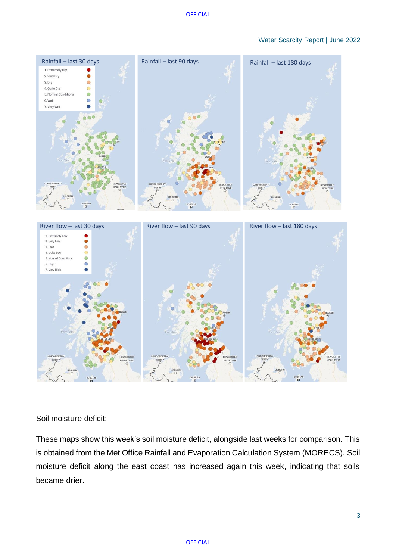### Water Scarcity Report | June 2022



Soil moisture deficit:

These maps show this week's soil moisture deficit, alongside last weeks for comparison. This is obtained from the Met Office Rainfall and Evaporation Calculation System (MORECS). Soil moisture deficit along the east coast has increased again this week, indicating that soils became drier.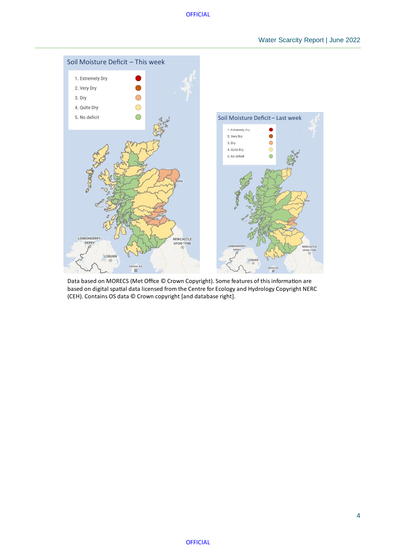

Data based on MORECS (Met Office © Crown Copyright). Some features of this information are based on digital spatial data licensed from the Centre for Ecology and Hydrology Copyright NERC (CEH). Contains OS data © Crown copyright [and database right].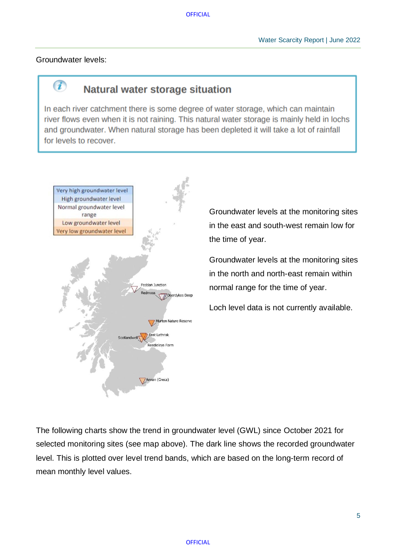Groundwater levels:

 $\overline{\mathbf{u}}$ 

## Natural water storage situation

In each river catchment there is some degree of water storage, which can maintain river flows even when it is not raining. This natural water storage is mainly held in lochs and groundwater. When natural storage has been depleted it will take a lot of rainfall for levels to recover.



Groundwater levels at the monitoring sites in the east and south-west remain low for the time of year.

Groundwater levels at the monitoring sites in the north and north-east remain within normal range for the time of year.

Loch level data is not currently available.

The following charts show the trend in groundwater level (GWL) since October 2021 for selected monitoring sites (see map above). The dark line shows the recorded groundwater level. This is plotted over level trend bands, which are based on the long-term record of mean monthly level values.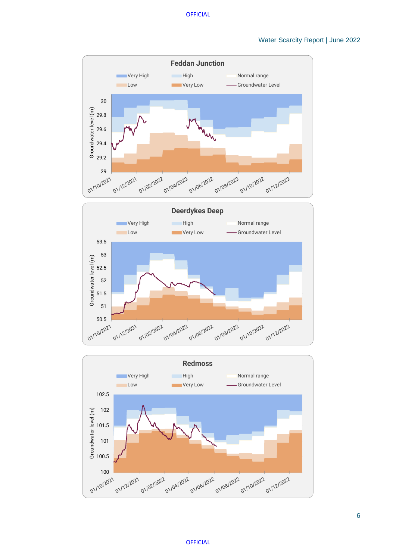



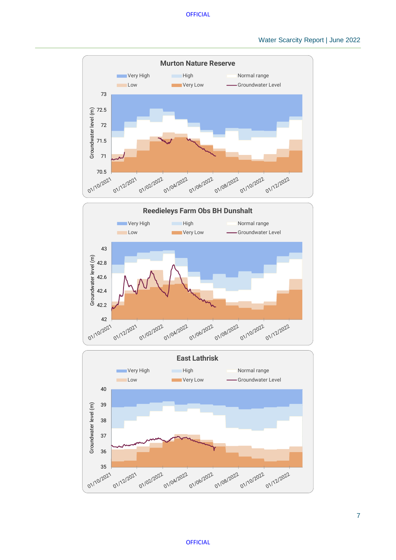